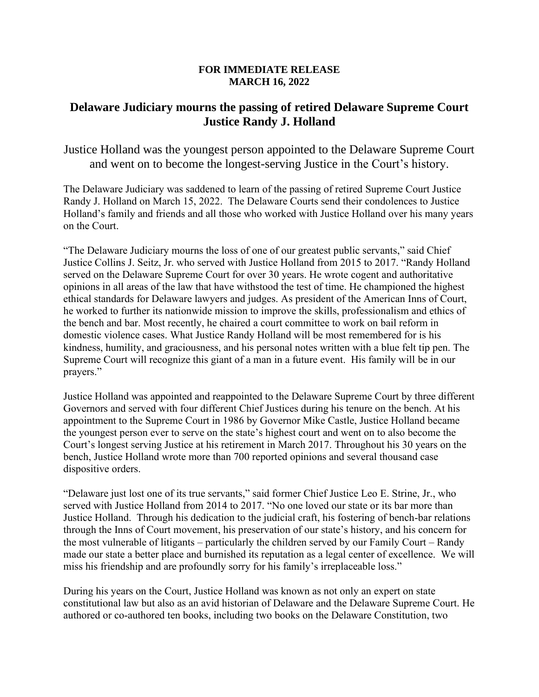## **FOR IMMEDIATE RELEASE MARCH 16, 2022**

## **Delaware Judiciary mourns the passing of retired Delaware Supreme Court Justice Randy J. Holland**

Justice Holland was the youngest person appointed to the Delaware Supreme Court and went on to become the longest-serving Justice in the Court's history.

The Delaware Judiciary was saddened to learn of the passing of retired Supreme Court Justice Randy J. Holland on March 15, 2022. The Delaware Courts send their condolences to Justice Holland's family and friends and all those who worked with Justice Holland over his many years on the Court.

"The Delaware Judiciary mourns the loss of one of our greatest public servants," said Chief Justice Collins J. Seitz, Jr. who served with Justice Holland from 2015 to 2017. "Randy Holland served on the Delaware Supreme Court for over 30 years. He wrote cogent and authoritative opinions in all areas of the law that have withstood the test of time. He championed the highest ethical standards for Delaware lawyers and judges. As president of the American Inns of Court, he worked to further its nationwide mission to improve the skills, professionalism and ethics of the bench and bar. Most recently, he chaired a court committee to work on bail reform in domestic violence cases. What Justice Randy Holland will be most remembered for is his kindness, humility, and graciousness, and his personal notes written with a blue felt tip pen. The Supreme Court will recognize this giant of a man in a future event. His family will be in our prayers."

Justice Holland was appointed and reappointed to the Delaware Supreme Court by three different Governors and served with four different Chief Justices during his tenure on the bench. At his appointment to the Supreme Court in 1986 by Governor Mike Castle, Justice Holland became the youngest person ever to serve on the state's highest court and went on to also become the Court's longest serving Justice at his retirement in March 2017. Throughout his 30 years on the bench, Justice Holland wrote more than 700 reported opinions and several thousand case dispositive orders.

"Delaware just lost one of its true servants," said former Chief Justice Leo E. Strine, Jr., who served with Justice Holland from 2014 to 2017. "No one loved our state or its bar more than Justice Holland. Through his dedication to the judicial craft, his fostering of bench-bar relations through the Inns of Court movement, his preservation of our state's history, and his concern for the most vulnerable of litigants – particularly the children served by our Family Court – Randy made our state a better place and burnished its reputation as a legal center of excellence. We will miss his friendship and are profoundly sorry for his family's irreplaceable loss."

During his years on the Court, Justice Holland was known as not only an expert on state constitutional law but also as an avid historian of Delaware and the Delaware Supreme Court. He authored or co-authored ten books, including two books on the Delaware Constitution, two